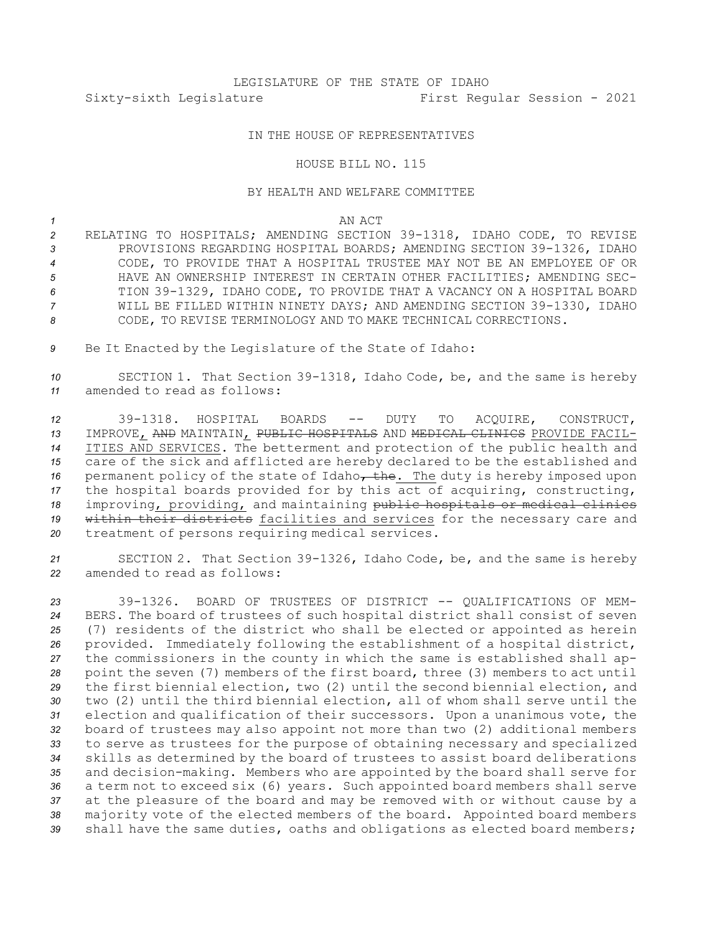# LEGISLATURE OF THE STATE OF IDAHO Sixty-sixth Legislature First Regular Session - 2021

## IN THE HOUSE OF REPRESENTATIVES

#### HOUSE BILL NO. 115

## BY HEALTH AND WELFARE COMMITTEE

### *1* AN ACT

 RELATING TO HOSPITALS; AMENDING SECTION 39-1318, IDAHO CODE, TO REVISE PROVISIONS REGARDING HOSPITAL BOARDS; AMENDING SECTION 39-1326, IDAHO CODE, TO PROVIDE THAT A HOSPITAL TRUSTEE MAY NOT BE AN EMPLOYEE OF OR HAVE AN OWNERSHIP INTEREST IN CERTAIN OTHER FACILITIES; AMENDING SEC- TION 39-1329, IDAHO CODE, TO PROVIDE THAT A VACANCY ON A HOSPITAL BOARD WILL BE FILLED WITHIN NINETY DAYS; AND AMENDING SECTION 39-1330, IDAHO CODE, TO REVISE TERMINOLOGY AND TO MAKE TECHNICAL CORRECTIONS.

*<sup>9</sup>* Be It Enacted by the Legislature of the State of Idaho:

*<sup>10</sup>* SECTION 1. That Section 39-1318, Idaho Code, be, and the same is hereby *11* amended to read as follows:

 39-1318. HOSPITAL BOARDS -- DUTY TO ACQUIRE, CONSTRUCT, IMPROVE, AND MAINTAIN, PUBLIC HOSPITALS AND MEDICAL CLINICS PROVIDE FACIL- ITIES AND SERVICES. The betterment and protection of the public health and care of the sick and afflicted are hereby declared to be the established and 16 permanent policy of the state of Idaho<sub>r</sub> the. The duty is hereby imposed upon the hospital boards provided for by this act of acquiring, constructing, improving, providing, and maintaining public hospitals or medical clinics within their districts facilities and services for the necessary care and treatment of persons requiring medical services.

*<sup>21</sup>* SECTION 2. That Section 39-1326, Idaho Code, be, and the same is hereby *22* amended to read as follows:

 39-1326. BOARD OF TRUSTEES OF DISTRICT -- QUALIFICATIONS OF MEM- BERS. The board of trustees of such hospital district shall consist of seven (7) residents of the district who shall be elected or appointed as herein provided. Immediately following the establishment of <sup>a</sup> hospital district, the commissioners in the county in which the same is established shall ap- point the seven (7) members of the first board, three (3) members to act until the first biennial election, two (2) until the second biennial election, and two (2) until the third biennial election, all of whom shall serve until the election and qualification of their successors. Upon <sup>a</sup> unanimous vote, the board of trustees may also appoint not more than two (2) additional members to serve as trustees for the purpose of obtaining necessary and specialized skills as determined by the board of trustees to assist board deliberations and decision-making. Members who are appointed by the board shall serve for <sup>a</sup> term not to exceed six (6) years. Such appointed board members shall serve at the pleasure of the board and may be removed with or without cause by <sup>a</sup> majority vote of the elected members of the board. Appointed board members shall have the same duties, oaths and obligations as elected board members;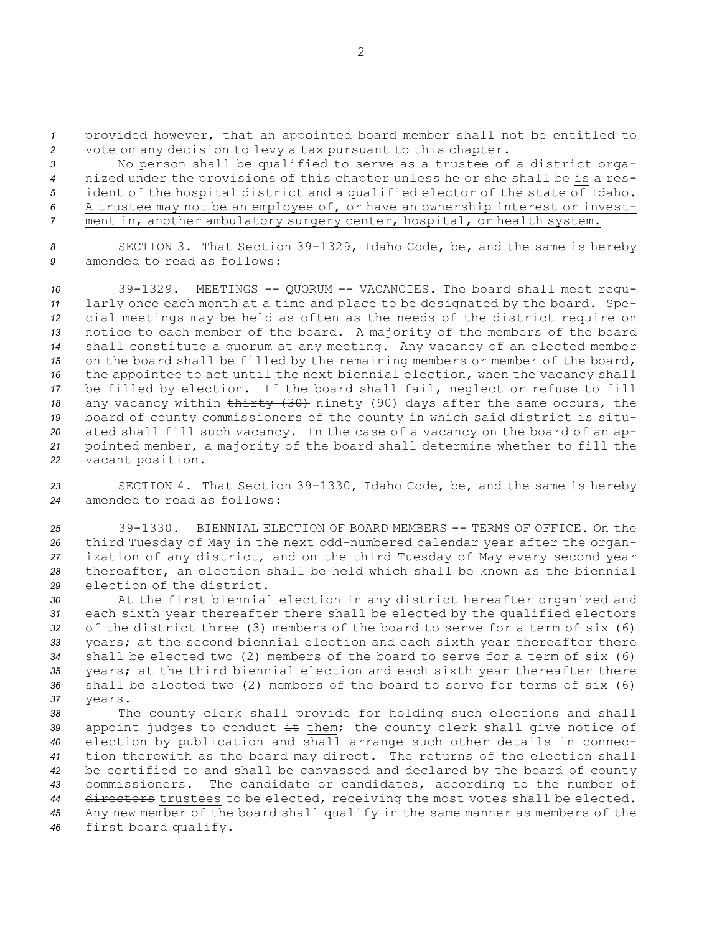*<sup>1</sup>* provided however, that an appointed board member shall not be entitled to *<sup>2</sup>* vote on any decision to levy <sup>a</sup> tax pursuant to this chapter.

 No person shall be qualified to serve as <sup>a</sup> trustee of <sup>a</sup> district orga- nized under the provisions of this chapter unless he or she shall be is <sup>a</sup> res- ident of the hospital district and <sup>a</sup> qualified elector of the state of Idaho. <sup>A</sup> trustee may not be an employee of, or have an ownership interest or invest-ment in, another ambulatory surgery center, hospital, or health system.

*<sup>8</sup>* SECTION 3. That Section 39-1329, Idaho Code, be, and the same is hereby *9* amended to read as follows:

 39-1329. MEETINGS -- QUORUM -- VACANCIES. The board shall meet regu- larly once each month at <sup>a</sup> time and place to be designated by the board. Spe- cial meetings may be held as often as the needs of the district require on notice to each member of the board. <sup>A</sup> majority of the members of the board shall constitute <sup>a</sup> quorum at any meeting. Any vacancy of an elected member on the board shall be filled by the remaining members or member of the board, the appointee to act until the next biennial election, when the vacancy shall be filled by election. If the board shall fail, neglect or refuse to fill 18 any vacancy within thirty (30) ninety (90) days after the same occurs, the board of county commissioners of the county in which said district is situ- ated shall fill such vacancy. In the case of <sup>a</sup> vacancy on the board of an ap- pointed member, <sup>a</sup> majority of the board shall determine whether to fill the vacant position.

*<sup>23</sup>* SECTION 4. That Section 39-1330, Idaho Code, be, and the same is hereby *24* amended to read as follows:

 39-1330. BIENNIAL ELECTION OF BOARD MEMBERS -- TERMS OF OFFICE. On the third Tuesday of May in the next odd-numbered calendar year after the organ- ization of any district, and on the third Tuesday of May every second year thereafter, an election shall be held which shall be known as the biennial election of the district.

 At the first biennial election in any district hereafter organized and each sixth year thereafter there shall be elected by the qualified electors of the district three (3) members of the board to serve for <sup>a</sup> term of six (6) years; at the second biennial election and each sixth year thereafter there shall be elected two (2) members of the board to serve for <sup>a</sup> term of six (6) years; at the third biennial election and each sixth year thereafter there shall be elected two (2) members of the board to serve for terms of six (6) *37* years.

 The county clerk shall provide for holding such elections and shall 39 appoint judges to conduct it them; the county clerk shall give notice of election by publication and shall arrange such other details in connec- tion therewith as the board may direct. The returns of the election shall be certified to and shall be canvassed and declared by the board of county commissioners. The candidate or candidates, according to the number of directors trustees to be elected, receiving the most votes shall be elected. Any new member of the board shall qualify in the same manner as members of the first board qualify.